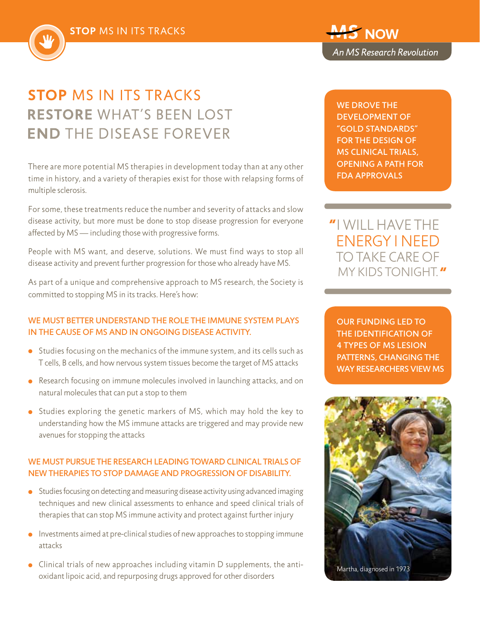

# **STOP MS IN ITS TRACKS RESTORE WHAT'S BEEN LOST END THE DISEASE FOREVER**

There are more potential MS therapies in development today than at any other time in history, and a variety of therapies exist for those with relapsing forms of multiple sclerosis.

For some, these treatments reduce the number and severity of attacks and slow disease activity, but more must be done to stop disease progression for everyone affected by MS — including those with progressive forms.

People with MS want, and deserve, solutions. We must find ways to stop all disease activity and prevent further progression for those who already have MS.

As part of a unique and comprehensive approach to MS research, the Society is committed to stopping MS in its tracks. Here's how:

### WE MUST BETTER UNDERSTAND THE ROLE THE IMMUNE SYSTEM PLAYS in the cause of MS and in ongoing disease activity.

- **•** Studies focusing on the mechanics of the immune system, and its cells such as T cells, B cells, and how nervous system tissues become the target of MS attacks
- Research focusing on immune molecules involved in launching attacks, and on natural molecules that can put a stop to them
- Studies exploring the genetic markers of MS, which may hold the key to understanding how the MS immune attacks are triggered and may provide new avenues for stopping the attacks

### We must pursue the research leading toward clinical trials of new therapies to stop damage and progression of disability.

- **•** Studies focusing on detecting and measuring disease activity using advanced imaging techniques and new clinical assessments to enhance and speed clinical trials of therapies that can stop MS immune activity and protect against further injury
- $\bullet$  Investments aimed at pre-clinical studies of new approaches to stopping immune attacks
- **c** Clinical trials of new approaches including vitamin D supplements, the antioxidant lipoic acid, and repurposing drugs approved for other disorders

WE DROVE THE development of "gold standards" for the design of MS CLINICAL TRIALS, opening a path for FDA approvals

i will have the energy I NEED TO TAKE CARE OF my kids tonight.

Our funding led to the identification of 4 types of MS lesion patterns, changing the way researchers view MS